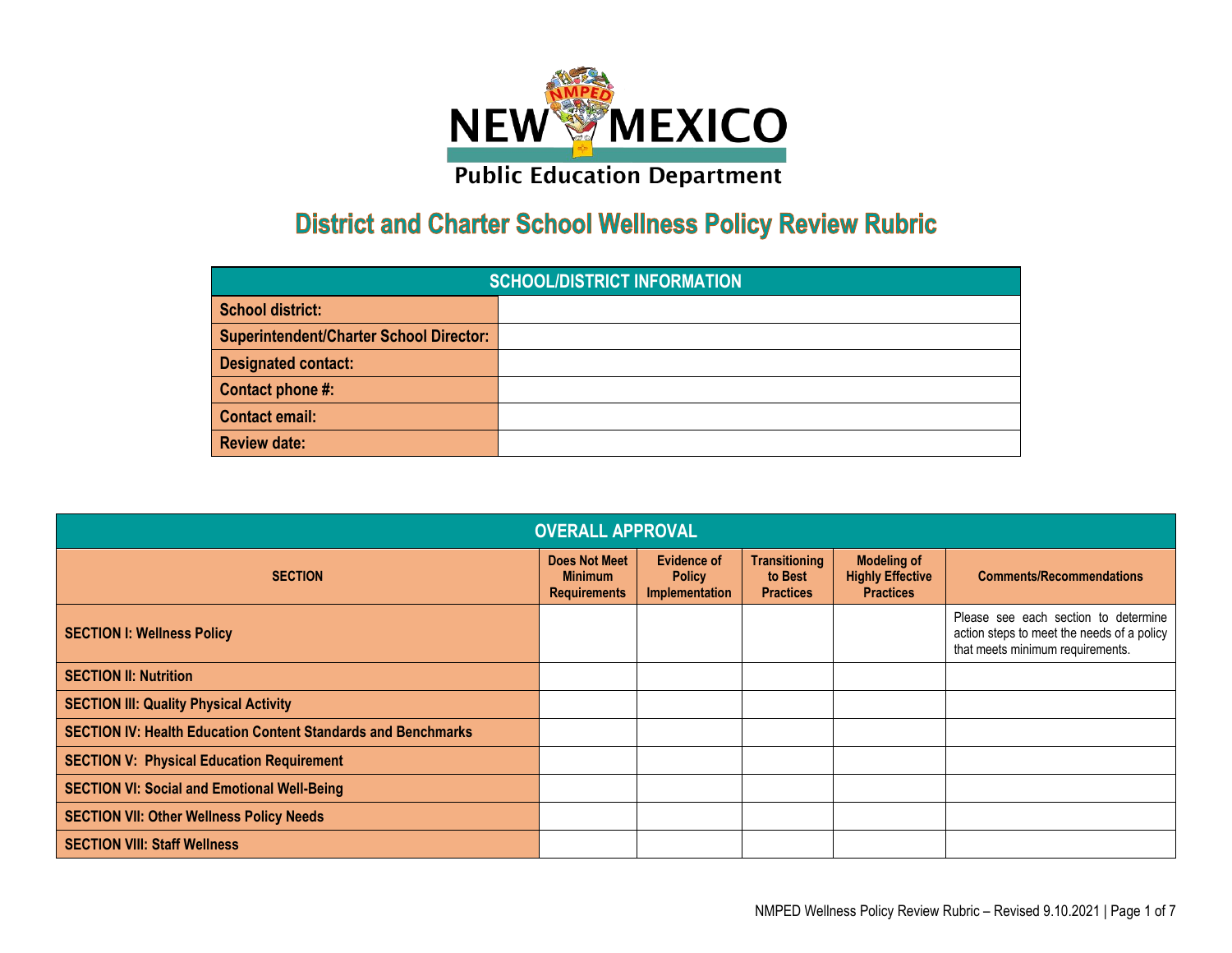

## **District and Charter School Wellness Policy Review Rubric**

| <b>SCHOOL/DISTRICT INFORMATION</b>             |  |  |  |  |  |  |
|------------------------------------------------|--|--|--|--|--|--|
| <b>School district:</b>                        |  |  |  |  |  |  |
| <b>Superintendent/Charter School Director:</b> |  |  |  |  |  |  |
| <b>Designated contact:</b>                     |  |  |  |  |  |  |
| Contact phone #:                               |  |  |  |  |  |  |
| <b>Contact email:</b>                          |  |  |  |  |  |  |
| <b>Review date:</b>                            |  |  |  |  |  |  |

| <b>OVERALL APPROVAL</b>                                              |                                                               |                                                       |                                                     |                                                                   |                                                                                                                        |  |  |  |  |
|----------------------------------------------------------------------|---------------------------------------------------------------|-------------------------------------------------------|-----------------------------------------------------|-------------------------------------------------------------------|------------------------------------------------------------------------------------------------------------------------|--|--|--|--|
| <b>SECTION</b>                                                       | <b>Does Not Meet</b><br><b>Minimum</b><br><b>Requirements</b> | <b>Evidence of</b><br><b>Policy</b><br>Implementation | <b>Transitioning</b><br>to Best<br><b>Practices</b> | <b>Modeling of</b><br><b>Highly Effective</b><br><b>Practices</b> | <b>Comments/Recommendations</b>                                                                                        |  |  |  |  |
| <b>SECTION I: Wellness Policy</b>                                    |                                                               |                                                       |                                                     |                                                                   | Please see each section to determine<br>action steps to meet the needs of a policy<br>that meets minimum requirements. |  |  |  |  |
| <b>SECTION II: Nutrition</b>                                         |                                                               |                                                       |                                                     |                                                                   |                                                                                                                        |  |  |  |  |
| <b>SECTION III: Quality Physical Activity</b>                        |                                                               |                                                       |                                                     |                                                                   |                                                                                                                        |  |  |  |  |
| <b>SECTION IV: Health Education Content Standards and Benchmarks</b> |                                                               |                                                       |                                                     |                                                                   |                                                                                                                        |  |  |  |  |
| <b>SECTION V: Physical Education Requirement</b>                     |                                                               |                                                       |                                                     |                                                                   |                                                                                                                        |  |  |  |  |
| <b>SECTION VI: Social and Emotional Well-Being</b>                   |                                                               |                                                       |                                                     |                                                                   |                                                                                                                        |  |  |  |  |
| <b>SECTION VII: Other Wellness Policy Needs</b>                      |                                                               |                                                       |                                                     |                                                                   |                                                                                                                        |  |  |  |  |
| <b>SECTION VIII: Staff Wellness</b>                                  |                                                               |                                                       |                                                     |                                                                   |                                                                                                                        |  |  |  |  |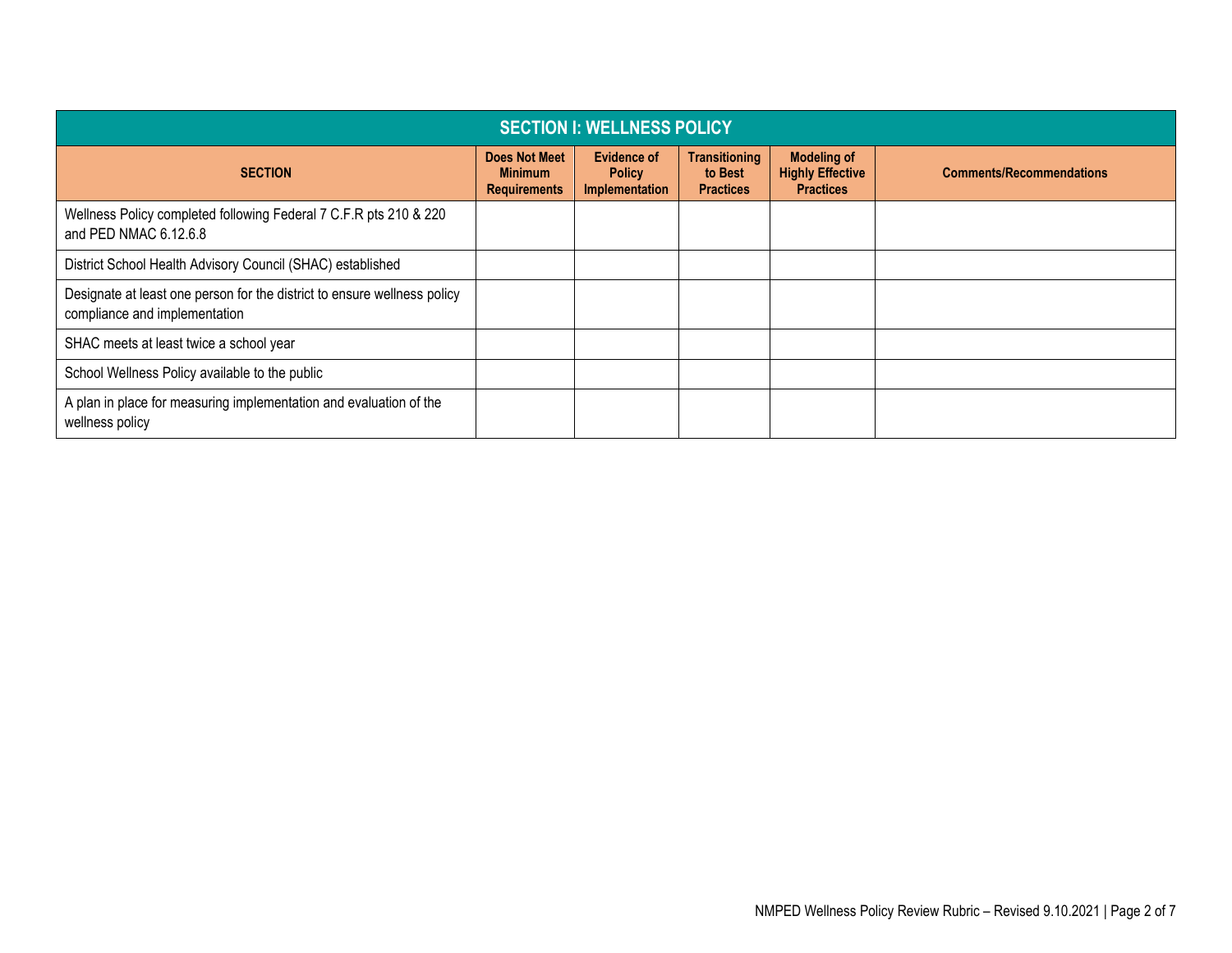| <b>SECTION I: WELLNESS POLICY</b>                                                                         |                                                               |                                                              |                                                     |                                                                   |                                 |  |  |
|-----------------------------------------------------------------------------------------------------------|---------------------------------------------------------------|--------------------------------------------------------------|-----------------------------------------------------|-------------------------------------------------------------------|---------------------------------|--|--|
| <b>SECTION</b>                                                                                            | <b>Does Not Meet</b><br><b>Minimum</b><br><b>Requirements</b> | <b>Evidence of</b><br><b>Policy</b><br><b>Implementation</b> | <b>Transitioning</b><br>to Best<br><b>Practices</b> | <b>Modeling of</b><br><b>Highly Effective</b><br><b>Practices</b> | <b>Comments/Recommendations</b> |  |  |
| Wellness Policy completed following Federal 7 C.F.R pts 210 & 220<br>and PED NMAC 6.12.6.8                |                                                               |                                                              |                                                     |                                                                   |                                 |  |  |
| District School Health Advisory Council (SHAC) established                                                |                                                               |                                                              |                                                     |                                                                   |                                 |  |  |
| Designate at least one person for the district to ensure wellness policy<br>compliance and implementation |                                                               |                                                              |                                                     |                                                                   |                                 |  |  |
| SHAC meets at least twice a school year                                                                   |                                                               |                                                              |                                                     |                                                                   |                                 |  |  |
| School Wellness Policy available to the public                                                            |                                                               |                                                              |                                                     |                                                                   |                                 |  |  |
| A plan in place for measuring implementation and evaluation of the<br>wellness policy                     |                                                               |                                                              |                                                     |                                                                   |                                 |  |  |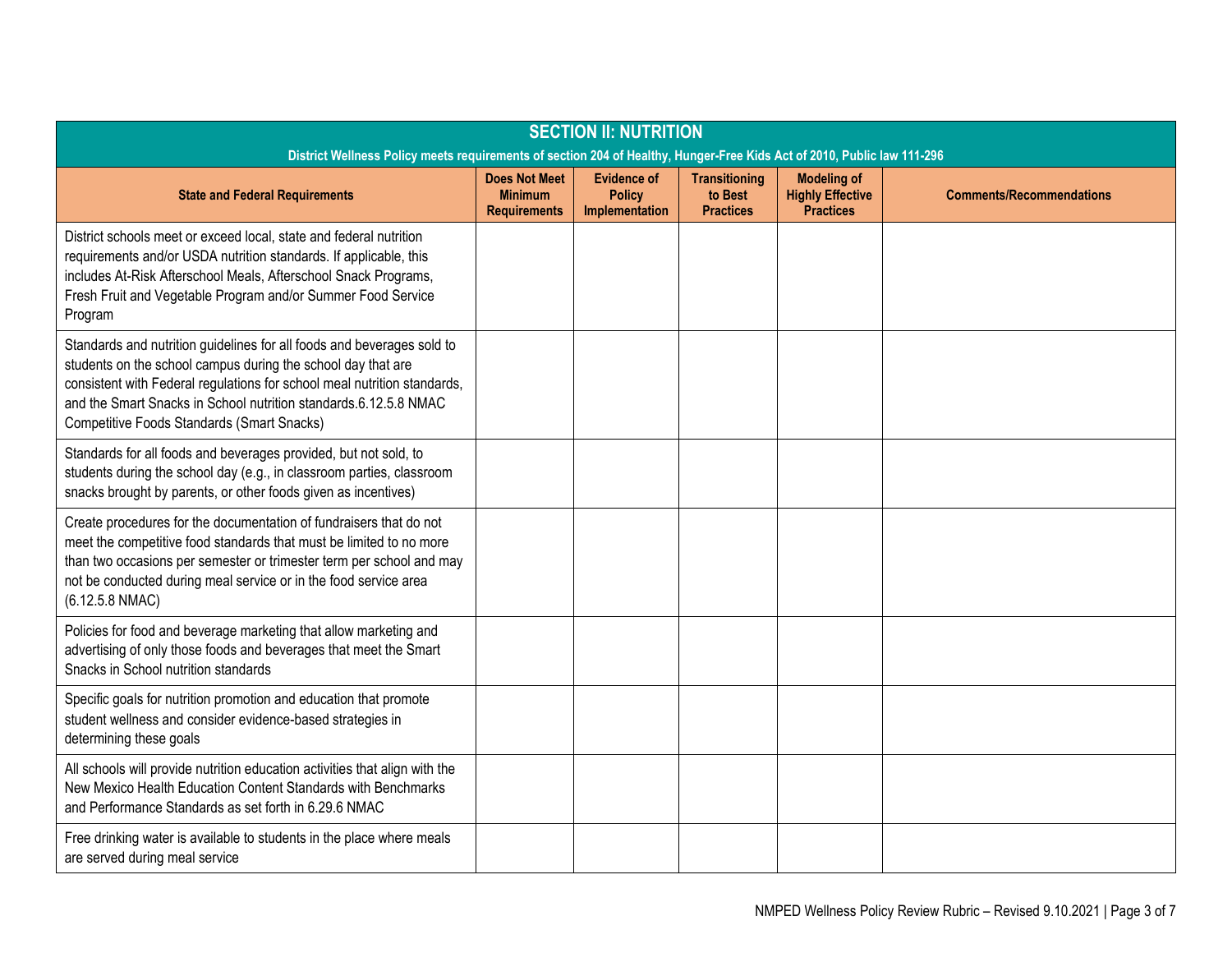| <b>SECTION II: NUTRITION</b><br>District Wellness Policy meets requirements of section 204 of Healthy, Hunger-Free Kids Act of 2010, Public law 111-296                                                                                                                                                                              |                                                               |                                                       |                                                     |                                                                   |                                 |  |
|--------------------------------------------------------------------------------------------------------------------------------------------------------------------------------------------------------------------------------------------------------------------------------------------------------------------------------------|---------------------------------------------------------------|-------------------------------------------------------|-----------------------------------------------------|-------------------------------------------------------------------|---------------------------------|--|
| <b>State and Federal Requirements</b>                                                                                                                                                                                                                                                                                                | <b>Does Not Meet</b><br><b>Minimum</b><br><b>Requirements</b> | <b>Evidence of</b><br><b>Policy</b><br>Implementation | <b>Transitioning</b><br>to Best<br><b>Practices</b> | <b>Modeling of</b><br><b>Highly Effective</b><br><b>Practices</b> | <b>Comments/Recommendations</b> |  |
| District schools meet or exceed local, state and federal nutrition<br>requirements and/or USDA nutrition standards. If applicable, this<br>includes At-Risk Afterschool Meals, Afterschool Snack Programs,<br>Fresh Fruit and Vegetable Program and/or Summer Food Service<br>Program                                                |                                                               |                                                       |                                                     |                                                                   |                                 |  |
| Standards and nutrition guidelines for all foods and beverages sold to<br>students on the school campus during the school day that are<br>consistent with Federal regulations for school meal nutrition standards,<br>and the Smart Snacks in School nutrition standards.6.12.5.8 NMAC<br>Competitive Foods Standards (Smart Snacks) |                                                               |                                                       |                                                     |                                                                   |                                 |  |
| Standards for all foods and beverages provided, but not sold, to<br>students during the school day (e.g., in classroom parties, classroom<br>snacks brought by parents, or other foods given as incentives)                                                                                                                          |                                                               |                                                       |                                                     |                                                                   |                                 |  |
| Create procedures for the documentation of fundraisers that do not<br>meet the competitive food standards that must be limited to no more<br>than two occasions per semester or trimester term per school and may<br>not be conducted during meal service or in the food service area<br>(6.12.5.8 NMAC)                             |                                                               |                                                       |                                                     |                                                                   |                                 |  |
| Policies for food and beverage marketing that allow marketing and<br>advertising of only those foods and beverages that meet the Smart<br>Snacks in School nutrition standards                                                                                                                                                       |                                                               |                                                       |                                                     |                                                                   |                                 |  |
| Specific goals for nutrition promotion and education that promote<br>student wellness and consider evidence-based strategies in<br>determining these goals                                                                                                                                                                           |                                                               |                                                       |                                                     |                                                                   |                                 |  |
| All schools will provide nutrition education activities that align with the<br>New Mexico Health Education Content Standards with Benchmarks<br>and Performance Standards as set forth in 6.29.6 NMAC                                                                                                                                |                                                               |                                                       |                                                     |                                                                   |                                 |  |
| Free drinking water is available to students in the place where meals<br>are served during meal service                                                                                                                                                                                                                              |                                                               |                                                       |                                                     |                                                                   |                                 |  |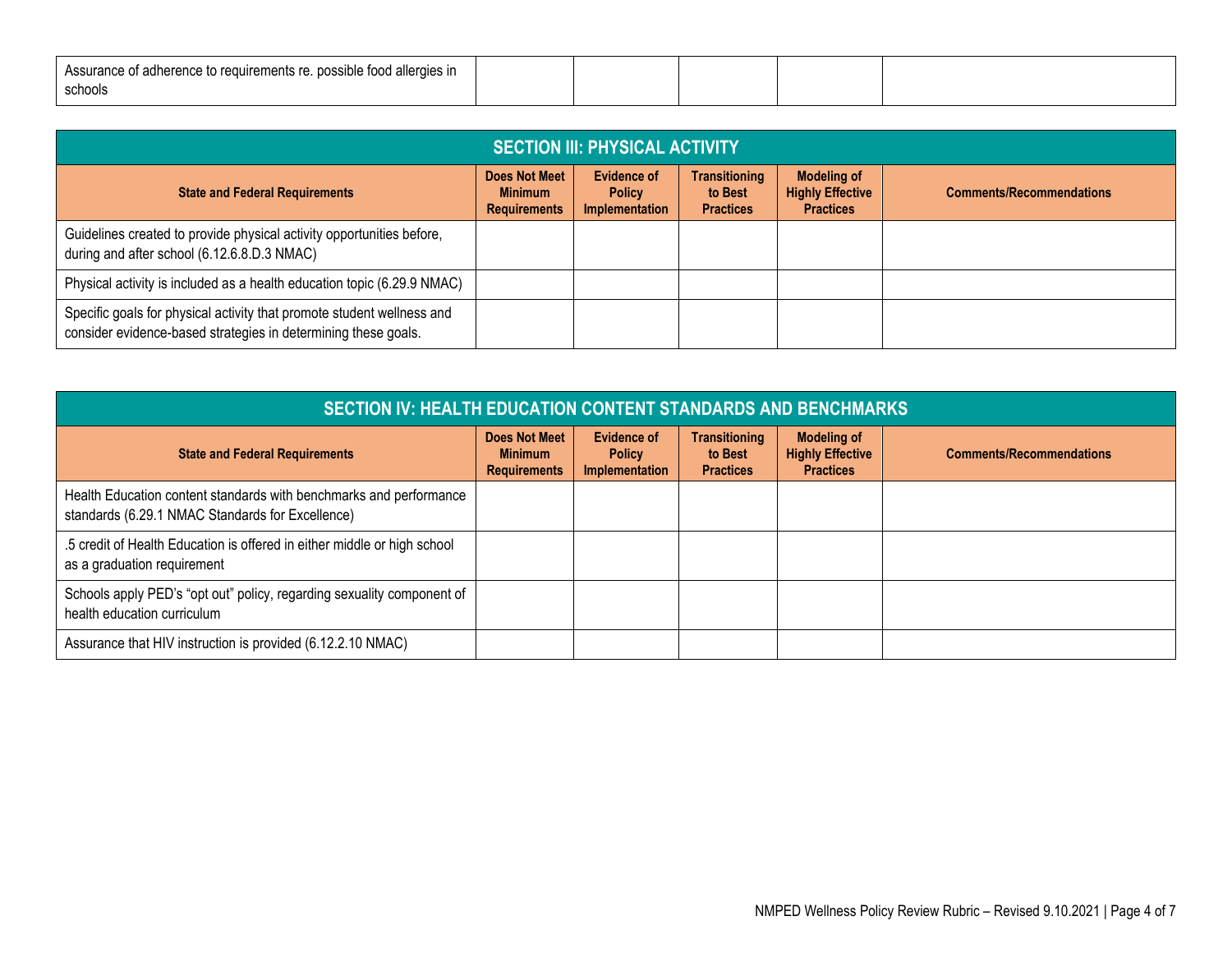| . possible food allergies in<br>if adherence to requirements re.<br>Assurance www |  |  |  |
|-----------------------------------------------------------------------------------|--|--|--|
| schools                                                                           |  |  |  |

| <b>SECTION III: PHYSICAL ACTIVITY</b>                                                                                                    |                                                               |                                                |                                                     |                                                                   |                                 |  |  |
|------------------------------------------------------------------------------------------------------------------------------------------|---------------------------------------------------------------|------------------------------------------------|-----------------------------------------------------|-------------------------------------------------------------------|---------------------------------|--|--|
| <b>State and Federal Requirements</b>                                                                                                    | <b>Does Not Meet</b><br><b>Minimum</b><br><b>Requirements</b> | Evidence of<br><b>Policy</b><br>Implementation | <b>Transitioning</b><br>to Best<br><b>Practices</b> | <b>Modeling of</b><br><b>Highly Effective</b><br><b>Practices</b> | <b>Comments/Recommendations</b> |  |  |
| Guidelines created to provide physical activity opportunities before,<br>during and after school (6.12.6.8.D.3 NMAC)                     |                                                               |                                                |                                                     |                                                                   |                                 |  |  |
| Physical activity is included as a health education topic (6.29.9 NMAC)                                                                  |                                                               |                                                |                                                     |                                                                   |                                 |  |  |
| Specific goals for physical activity that promote student wellness and<br>consider evidence-based strategies in determining these goals. |                                                               |                                                |                                                     |                                                                   |                                 |  |  |

| <b>SECTION IV: HEALTH EDUCATION CONTENT STANDARDS AND BENCHMARKS</b>                                                   |                                                               |                                                       |                                                     |                                                                   |                                 |  |
|------------------------------------------------------------------------------------------------------------------------|---------------------------------------------------------------|-------------------------------------------------------|-----------------------------------------------------|-------------------------------------------------------------------|---------------------------------|--|
| <b>State and Federal Requirements</b>                                                                                  | <b>Does Not Meet</b><br><b>Minimum</b><br><b>Requirements</b> | <b>Evidence of</b><br><b>Policy</b><br>Implementation | <b>Transitioning</b><br>to Best<br><b>Practices</b> | <b>Modeling of</b><br><b>Highly Effective</b><br><b>Practices</b> | <b>Comments/Recommendations</b> |  |
| Health Education content standards with benchmarks and performance<br>standards (6.29.1 NMAC Standards for Excellence) |                                                               |                                                       |                                                     |                                                                   |                                 |  |
| .5 credit of Health Education is offered in either middle or high school<br>as a graduation requirement                |                                                               |                                                       |                                                     |                                                                   |                                 |  |
| Schools apply PED's "opt out" policy, regarding sexuality component of<br>health education curriculum                  |                                                               |                                                       |                                                     |                                                                   |                                 |  |
| Assurance that HIV instruction is provided (6.12.2.10 NMAC)                                                            |                                                               |                                                       |                                                     |                                                                   |                                 |  |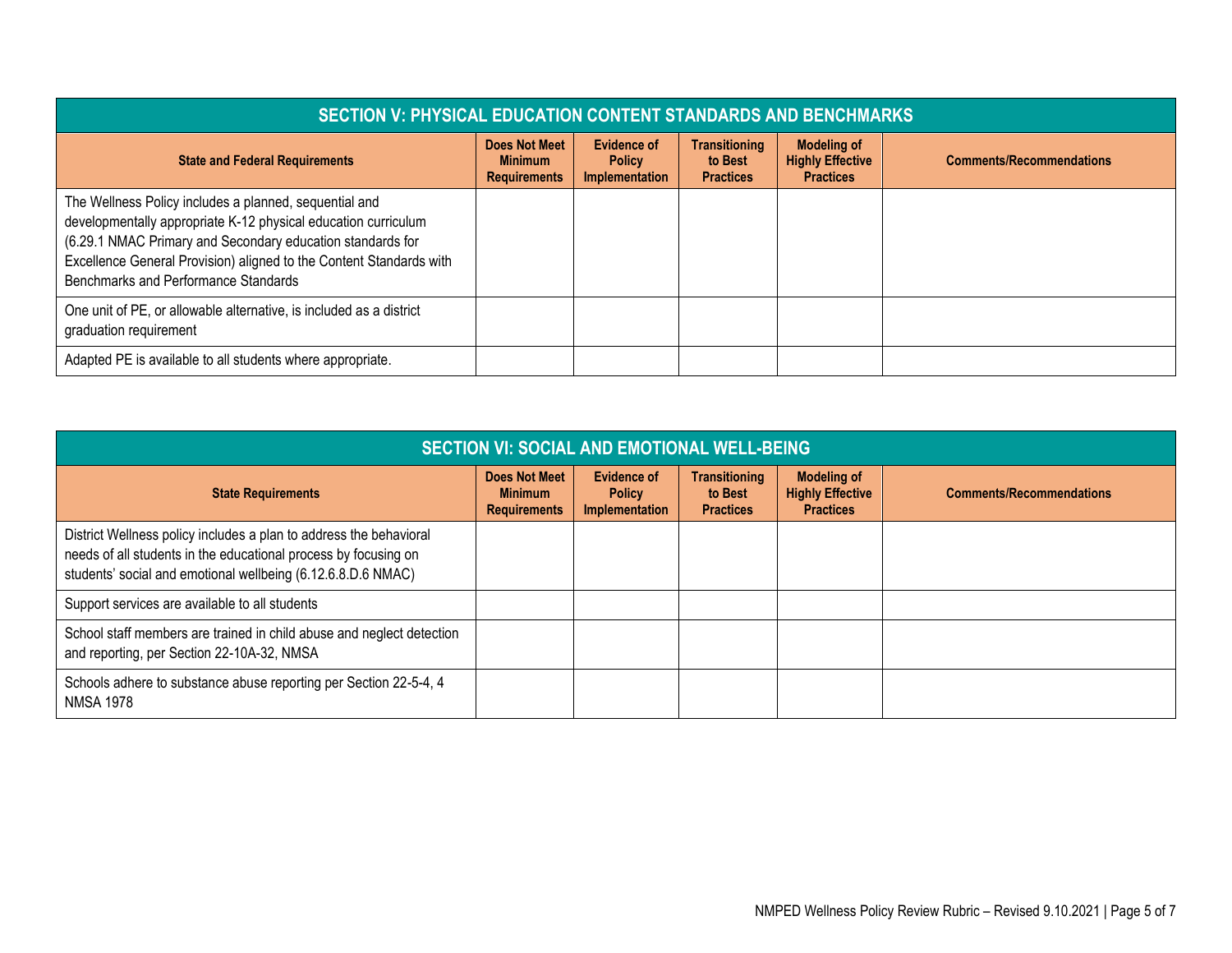| <b>SECTION V: PHYSICAL EDUCATION CONTENT STANDARDS AND BENCHMARKS</b>                                                                                                                                                                                                                                 |                                                               |                                                              |                                                     |                                                                   |                                 |  |  |
|-------------------------------------------------------------------------------------------------------------------------------------------------------------------------------------------------------------------------------------------------------------------------------------------------------|---------------------------------------------------------------|--------------------------------------------------------------|-----------------------------------------------------|-------------------------------------------------------------------|---------------------------------|--|--|
| <b>State and Federal Requirements</b>                                                                                                                                                                                                                                                                 | <b>Does Not Meet</b><br><b>Minimum</b><br><b>Requirements</b> | <b>Evidence of</b><br><b>Policy</b><br><b>Implementation</b> | <b>Transitioning</b><br>to Best<br><b>Practices</b> | <b>Modeling of</b><br><b>Highly Effective</b><br><b>Practices</b> | <b>Comments/Recommendations</b> |  |  |
| The Wellness Policy includes a planned, sequential and<br>developmentally appropriate K-12 physical education curriculum<br>(6.29.1 NMAC Primary and Secondary education standards for<br>Excellence General Provision) aligned to the Content Standards with<br>Benchmarks and Performance Standards |                                                               |                                                              |                                                     |                                                                   |                                 |  |  |
| One unit of PE, or allowable alternative, is included as a district<br>graduation requirement                                                                                                                                                                                                         |                                                               |                                                              |                                                     |                                                                   |                                 |  |  |
| Adapted PE is available to all students where appropriate.                                                                                                                                                                                                                                            |                                                               |                                                              |                                                     |                                                                   |                                 |  |  |

| <b>SECTION VI: SOCIAL AND EMOTIONAL WELL-BEING</b>                                                                                                                                                    |                                                               |                                                       |                                                     |                                                                   |                                 |  |  |
|-------------------------------------------------------------------------------------------------------------------------------------------------------------------------------------------------------|---------------------------------------------------------------|-------------------------------------------------------|-----------------------------------------------------|-------------------------------------------------------------------|---------------------------------|--|--|
| <b>State Requirements</b>                                                                                                                                                                             | <b>Does Not Meet</b><br><b>Minimum</b><br><b>Requirements</b> | <b>Evidence of</b><br><b>Policy</b><br>Implementation | <b>Transitioning</b><br>to Best<br><b>Practices</b> | <b>Modeling of</b><br><b>Highly Effective</b><br><b>Practices</b> | <b>Comments/Recommendations</b> |  |  |
| District Wellness policy includes a plan to address the behavioral<br>needs of all students in the educational process by focusing on<br>students' social and emotional wellbeing (6.12.6.8.D.6 NMAC) |                                                               |                                                       |                                                     |                                                                   |                                 |  |  |
| Support services are available to all students                                                                                                                                                        |                                                               |                                                       |                                                     |                                                                   |                                 |  |  |
| School staff members are trained in child abuse and neglect detection<br>and reporting, per Section 22-10A-32, NMSA                                                                                   |                                                               |                                                       |                                                     |                                                                   |                                 |  |  |
| Schools adhere to substance abuse reporting per Section 22-5-4, 4<br><b>NMSA 1978</b>                                                                                                                 |                                                               |                                                       |                                                     |                                                                   |                                 |  |  |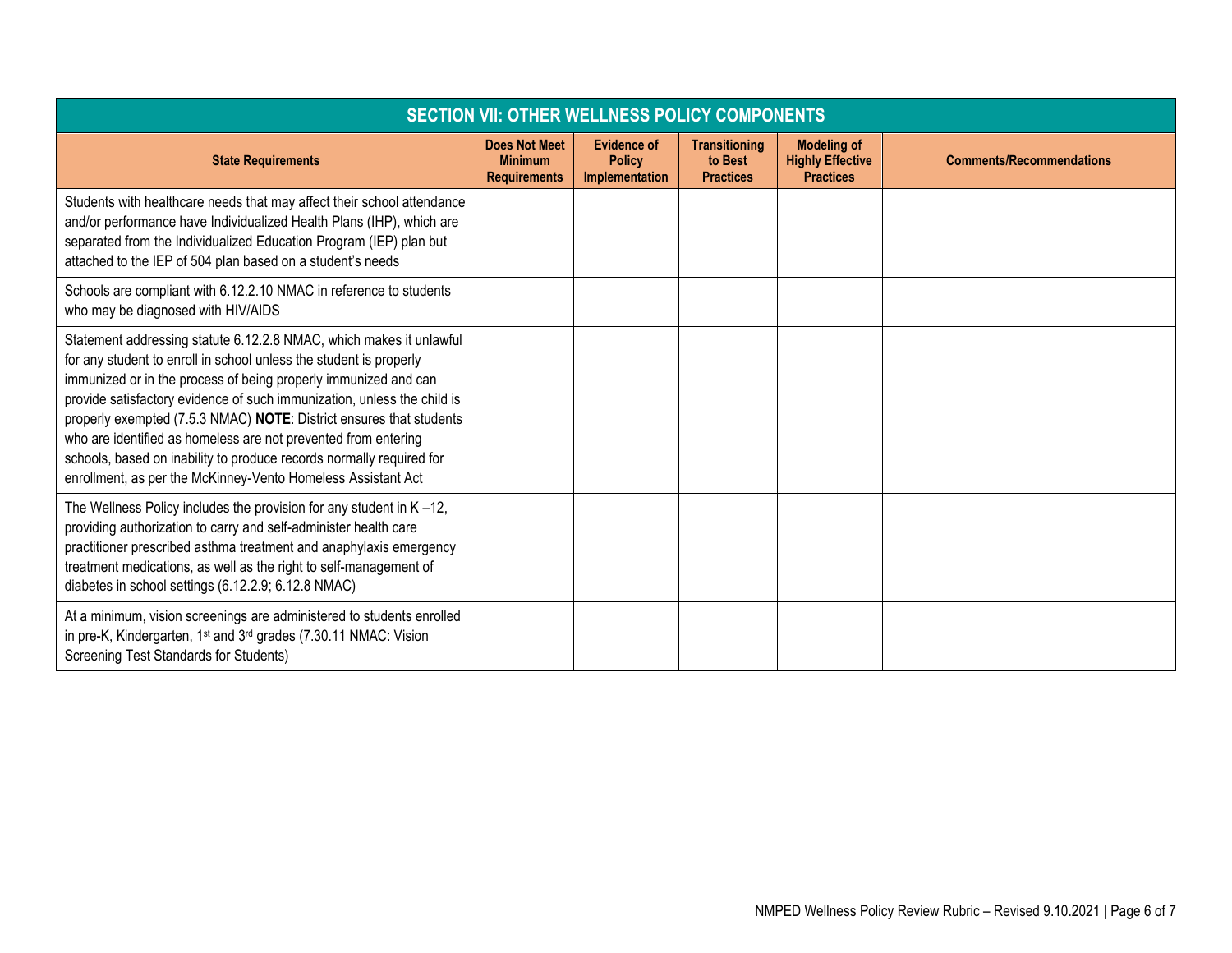| <b>SECTION VII: OTHER WELLNESS POLICY COMPONENTS</b>                                                                                                                                                                                                                                                                                                                                                                                                                                                                                                                     |                                                               |                                                       |                                                     |                                                                   |                                 |  |  |
|--------------------------------------------------------------------------------------------------------------------------------------------------------------------------------------------------------------------------------------------------------------------------------------------------------------------------------------------------------------------------------------------------------------------------------------------------------------------------------------------------------------------------------------------------------------------------|---------------------------------------------------------------|-------------------------------------------------------|-----------------------------------------------------|-------------------------------------------------------------------|---------------------------------|--|--|
| <b>State Requirements</b>                                                                                                                                                                                                                                                                                                                                                                                                                                                                                                                                                | <b>Does Not Meet</b><br><b>Minimum</b><br><b>Requirements</b> | <b>Evidence of</b><br><b>Policy</b><br>Implementation | <b>Transitioning</b><br>to Best<br><b>Practices</b> | <b>Modeling of</b><br><b>Highly Effective</b><br><b>Practices</b> | <b>Comments/Recommendations</b> |  |  |
| Students with healthcare needs that may affect their school attendance<br>and/or performance have Individualized Health Plans (IHP), which are<br>separated from the Individualized Education Program (IEP) plan but<br>attached to the IEP of 504 plan based on a student's needs                                                                                                                                                                                                                                                                                       |                                                               |                                                       |                                                     |                                                                   |                                 |  |  |
| Schools are compliant with 6.12.2.10 NMAC in reference to students<br>who may be diagnosed with HIV/AIDS                                                                                                                                                                                                                                                                                                                                                                                                                                                                 |                                                               |                                                       |                                                     |                                                                   |                                 |  |  |
| Statement addressing statute 6.12.2.8 NMAC, which makes it unlawful<br>for any student to enroll in school unless the student is properly<br>immunized or in the process of being properly immunized and can<br>provide satisfactory evidence of such immunization, unless the child is<br>properly exempted (7.5.3 NMAC) NOTE: District ensures that students<br>who are identified as homeless are not prevented from entering<br>schools, based on inability to produce records normally required for<br>enrollment, as per the McKinney-Vento Homeless Assistant Act |                                                               |                                                       |                                                     |                                                                   |                                 |  |  |
| The Wellness Policy includes the provision for any student in $K - 12$ ,<br>providing authorization to carry and self-administer health care<br>practitioner prescribed asthma treatment and anaphylaxis emergency<br>treatment medications, as well as the right to self-management of<br>diabetes in school settings (6.12.2.9; 6.12.8 NMAC)                                                                                                                                                                                                                           |                                                               |                                                       |                                                     |                                                                   |                                 |  |  |
| At a minimum, vision screenings are administered to students enrolled<br>in pre-K, Kindergarten, 1 <sup>st</sup> and 3 <sup>rd</sup> grades (7.30.11 NMAC: Vision<br>Screening Test Standards for Students)                                                                                                                                                                                                                                                                                                                                                              |                                                               |                                                       |                                                     |                                                                   |                                 |  |  |